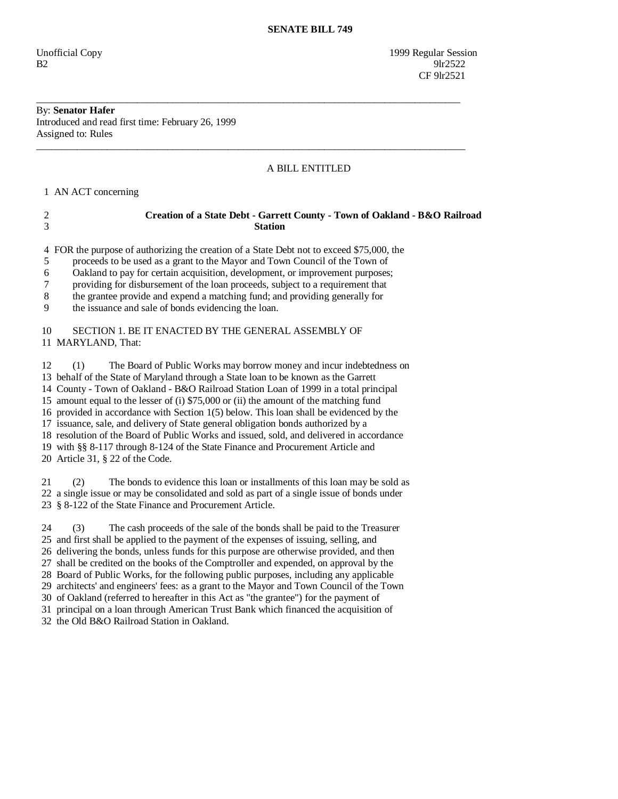Unofficial Copy 1999 Regular Session  $B2$  9lr2522 CF 9lr2521

## By: **Senator Hafer**

Introduced and read first time: February 26, 1999 Assigned to: Rules

## A BILL ENTITLED

1 AN ACT concerning

| Creation of a State Debt - Garrett County - Town of Oakland - B&O Railroad |
|----------------------------------------------------------------------------|
| <b>Station</b>                                                             |

4 FOR the purpose of authorizing the creation of a State Debt not to exceed \$75,000, the

\_\_\_\_\_\_\_\_\_\_\_\_\_\_\_\_\_\_\_\_\_\_\_\_\_\_\_\_\_\_\_\_\_\_\_\_\_\_\_\_\_\_\_\_\_\_\_\_\_\_\_\_\_\_\_\_\_\_\_\_\_\_\_\_\_\_\_\_\_\_\_\_\_\_\_\_\_\_\_\_\_\_\_\_

\_\_\_\_\_\_\_\_\_\_\_\_\_\_\_\_\_\_\_\_\_\_\_\_\_\_\_\_\_\_\_\_\_\_\_\_\_\_\_\_\_\_\_\_\_\_\_\_\_\_\_\_\_\_\_\_\_\_\_\_\_\_\_\_\_\_\_\_\_\_\_\_\_\_\_\_\_\_\_\_\_\_\_\_\_

5 proceeds to be used as a grant to the Mayor and Town Council of the Town of

6 Oakland to pay for certain acquisition, development, or improvement purposes;

7 providing for disbursement of the loan proceeds, subject to a requirement that

8 the grantee provide and expend a matching fund; and providing generally for

9 the issuance and sale of bonds evidencing the loan.

## 10 SECTION 1. BE IT ENACTED BY THE GENERAL ASSEMBLY OF 11 MARYLAND, That:

 12 (1) The Board of Public Works may borrow money and incur indebtedness on 13 behalf of the State of Maryland through a State loan to be known as the Garrett 14 County - Town of Oakland - B&O Railroad Station Loan of 1999 in a total principal 15 amount equal to the lesser of (i) \$75,000 or (ii) the amount of the matching fund 16 provided in accordance with Section 1(5) below. This loan shall be evidenced by the 17 issuance, sale, and delivery of State general obligation bonds authorized by a 18 resolution of the Board of Public Works and issued, sold, and delivered in accordance 19 with §§ 8-117 through 8-124 of the State Finance and Procurement Article and 20 Article 31, § 22 of the Code.

 21 (2) The bonds to evidence this loan or installments of this loan may be sold as 22 a single issue or may be consolidated and sold as part of a single issue of bonds under 23 § 8-122 of the State Finance and Procurement Article.

 24 (3) The cash proceeds of the sale of the bonds shall be paid to the Treasurer 25 and first shall be applied to the payment of the expenses of issuing, selling, and 26 delivering the bonds, unless funds for this purpose are otherwise provided, and then 27 shall be credited on the books of the Comptroller and expended, on approval by the 28 Board of Public Works, for the following public purposes, including any applicable 29 architects' and engineers' fees: as a grant to the Mayor and Town Council of the Town 30 of Oakland (referred to hereafter in this Act as "the grantee") for the payment of 31 principal on a loan through American Trust Bank which financed the acquisition of 32 the Old B&O Railroad Station in Oakland.